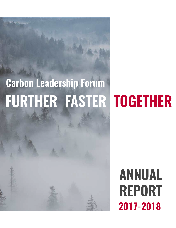# **FURTHER FASTER TOGETHER Carbon Leadership Forum**

# **2017-2018 ANNUAL REPORT**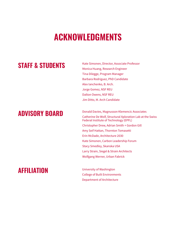## **ACKNOWLEDGMENTS**

### **STAFF & STUDENTS**

Kate Simonen, Director, Associate Professor Monica Huang, Research Engineer Tina Dilegge, Program Manager Barbara Rodriguez, PhD Candidate Alex Ianchenko, B. Arch. Jorge Gomez, NSF REU Dalton Owens, NSF REU Jim Ditto, M. Arch Candidate

**ADVISORY BOARD** Donald Davies, Magnusson Klemencic Associates Catherine De Wolf, Structural Xploration Lab at the Swiss Federal Institute of Technology (EPFL) Christopher Drew, Adrian Smith + Gordon Gill Amy Seif Hattan, Thornton Tomasetti Erin McDade, Architecture 2030 Kate Simonen, Carbon Leadership Forum Stacy Smedley, Skanska USA Larry Strain, Siegel & Strain Architects Wolfgang Werner, Urban Fabrick

### **AFFILIATION** University of Washington

College of Built Environments Department of Architecture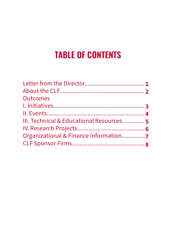## **TABLE OF CONTENTS**

| <b>Outcomes</b>                          |  |
|------------------------------------------|--|
|                                          |  |
|                                          |  |
| III. Technical & Educational Resources 5 |  |
|                                          |  |
| Organizational & Finance Information7    |  |
|                                          |  |
|                                          |  |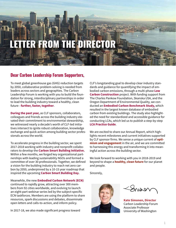# ER FROM

### **Dear Carbon Leadership Forum Supporters,**

To meet global greenhouse gas (GHG) reduction targets by 2050, collaborative problem-solving is needed from leaders across sectors and geographies. The Carbon Leadership Forum is working with you to build the foundation for strong, interdisciplinary partnerships in order to lead the building industry toward a healthy, clean future - **further, faster, together**.

**During the past year,** as CLF sponsors, collaborators, colleagues and friends across the building industry elevated their commitment to environmental stewardship, we witnessed nearly a decade's worth of CLF-led initiatives intersect to ignite robust collaboration, knowledge exchange and quick action among building sector professionals across the world.

To accelerate progress in the building sector, we spent 2017-2018 working with industry and nonprofit collaborators to develop the **Carbon Smart Building Initiative.** Within a few months, we forged key organizational partnerships with leading sustainability NGOs and formed a committee of over 30 professionals. Together, we defined a vision for the building industry to reach net zero carbon by 2050, underpinned by a 10-15 year roadmap that inspired the upcoming **Carbon Smart Building Day.**

Meanwhile, the new **Embodied Carbon Network (ECN)**  continued to rapidly grow, attracting over 300 members from 92 cities worldwide, and evolving to launch an eight-part webinar series led by the subject-specific ECN taskforces. Members are using the platform to share resources, spark discussions and debates, disseminate open letters and calls-to-action, and inform policy.

In 2017-18, we also made significant progress toward

CLF's longstanding goal to develop clear industry standards and guidance for quantifying the impact of embodied carbon emissions, through a multi-phase **Low Carbon Construction** project. With funding support from The Charles Pankow Foundation, Skanska USA, and the Oregon Department of Environmental Quality, we conducted an **Embodied Carbon Benchmark Study,** which resulted in the largest known database of embodied carbon from existing buildings. The study also highlighted the need for standardized and accessible guidance for conducting LCAs, which led us to publish a step-by-step **LCA Practice Guide**.

We are excited to share our Annual Report, which highlights recent milestones and current initiatives supported by CLF sponsor firms. We sense a unique current of **optimism and engagement** in the air, and we are committed to harnessing this energy and transforming it into meaningful action across the building sector.

We look forward to working with you in 2018-2019 and beyond to shape a **healthy, clean future** for our planet and people.

Sincerely,



Sniss

**Kate Simonen, Director** Carbon Leadership Forum Associate Professor University of Washington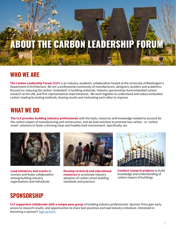# ABOUT THE CARBON LEADERSHIP FORUM

### **WHO WE ARE**

**The Carbon Leadership Forum (CLF)** is an industry-academic collaboration hosted at the University of Washington's Department of Architecture. We are a professional community of manufacturers, designers, builders and academics focused on reducing the carbon 'embodied' in building materials. Industry sponsorships fund embodied carbon research at the UW, and firm representatives lead initiatives. We work together to understand and reduce embodied carbon: leading by testing methods, sharing results and motivating each other to improve.

### **WHAT WE DO**

**The CLF provides building industry professionals** with the tools, resources and knowledge needed to account for the carbon impact of manufacturing and construction, and we lead activities to promote low carbon - or 'carbon smart' solutions to foster a thriving clean and healthy built environment. Specifically, we:



**Lead initiatives and events** to connect and foster collaboration among building industry organizations and individuals



**Develop technical and educational resources** to accelerate industry adoption of carbon smart building standards and practices



**Conduct research projects** to build knowledge and understanding of carbon impact of buildings

### **SPONSORSHIP**

**CLF supporters collaborate with a unique peer group** of building industry professionals. Sponsor firms gain early access to research results, and opportunities to share best practices and lead industry initiatives. Interested in becoming a sponsor? Sign up here.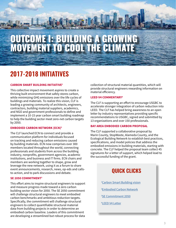# OUTCOME I: BUILDING A GROWING MOVEMENT TO COOL THE CLIMATE

### **2017-2018 INITIATIVES**

### **CARBON SMART BUILDING INITIATIVE1**

This collective impact movement aspires to create a thriving built environment that safely stores carbon, while minimizing GHG emissions over the life cycles of buildings and materials. To realize this vision, CLF is leading a growing community of architects, engineers, contractors, building material suppliers, academics, and NGO and government professionals to define and implement a 10-15 year carbon smart building roadmap to help the building sector meet zero-net carbon targets by 2050.

### **EMBODIED CARBON NETWORK (ECN)2**

The CLF launched ECN to connect and provide a communication platform for individuals focused on tracking and reducing carbon emissions caused by building materials. ECN now comprises over 300 members located throughout the world, connecting professionals and students from across the building industry, nonprofits, government agencies, academic institutions, and business and IT firms. ECN chairs and members are working together to shape, grow and leverage the new network, using it as a forum to share event announcements, research, news, op-eds and callsto-action, and to park discussions and debate.

### **SE 2050 COMMITMENT3**

This effort aims to inspire structural engineers to support and measure progress made toward a zero carbon building sector vision for 2050. The SE 2050 commitment will challenge structural engineers to meet embodied carbon benchmarks and ambitious reduction targets. Specifically, the commitment will challenge structural engineers to collect quantifiable structural material data from building projects in order to determine an embodied carbon baseline. Leaders of this commitment are developing a streamlined but robust process for data

collection of structural material quantities, which will provide structural engineers rewarding information on material efficiency.

### **LEED V4 COMMENTARY4**

The CLF is supporting an effort to encourage USGBC to accelerate stronger integration of carbon reduction into LEED. The CLF has helped bring awareness to an open letter by industry representatives providing specific recommendations to USGBC, signed and submitted by 13 organizations and over 150 professionals.

### **BAY AREA EMBODIED CARBON PROPOSAL**

The CLF supported a collaborative proposal by Marin County, StopWaste, Alameda County, and the Ecological Building Network to establish best practices, specifications, and model policies that address the embodied emissions in building materials, starting with concrete. The CLF helped the proposal team collect 45 signatures for a letter of support, which helped lead to the successful funding of the grant.



- <sup>1</sup>Carbon Smart Building vision
- 2 Embodied Carbon Network
- 3 SE Commitment 2050
- 4 LEED V4 Letter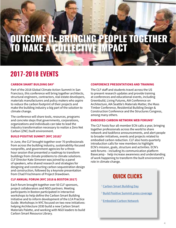## OUTCOME II: BRINGING PEOPLE TOGETHER TO MAKE A COLLECTIVE IMPACT

### **2017-2018 EVENTS**

### **CARBON SMART BUILDING DAY1**

Part of the 2018 Global Climate Action Summit in San Francisco, this conference will bring together architects, structural engineers, contractors, real estate developers, materials manufacturers and policy makers who aspire to reduce the carbon footprint of their projects and make the building industry a big part of the solution to climate change.

The conference will share tools, resources, programs and concrete steps that governments, corporations, organizations and individuals can take to lead the industry transformation necessary to realize a Zero Net Carbon (ZNC) built environment.

### **BUILD POSITIVE SUMMIT (NYC 2018)2**

In June, the CLF brought together over 70 professionals from across the building industry, sustainability-focused nonprofits, and government agencies for a threehour session that presented a roadmap to transform buildings from climate problems to climate solutions. CLF Director Kate Simonen was joined by a panel of speakers, who shared research and strategies for designing and constructing carbon sequestration design and construction, followed by a keynote presentation from Chad Frischmann of Project Drawdown.

### **CLF ANNUAL FORUM (NYC 2018 & BOSTON 2017)**

Each forum brought together over 50 CLF sponsors, project collaborators and NGO partners. Meeting participants in Boston participated in interactive workshops to help define the Carbon Smart Building Initiative and to inform development of the LCA Practice Guide. Workshops in NYC focused on two new initiatives: helping Architecture 2030 build a new Carbon Smart Materials Palette, and working with NGO leaders to build Carbon Smart Resource Library.

### **CONFERENCE PRESENTATIONS AND TRAINING**

The CLF staff and students travel across the US to present research updates and provide training at conferences and educational events, including Greenbuild, Living Futures, AIA Conference on Architecture, AIA Seattle's Materials Matter, the Mass Timber Conference, Residential Building Design & Construction Conference and the Structures Congress, among many others.

### **EMBODIED CARBON NETWORK WEB FORUMS3**

The CLF hosts four all-member ECN calls a year, bringing together professionals across the world to share network and taskforce announcements, and alert people to broader initiatives, events and projects related to embodied carbon reduction. CLF also hosts quarterly introduction calls for new members to highlight ECN's mission, goals, structure and activities. ECN's web forums - including its communication platform Basecamp - help increase awareness and understanding of work happening to transform the built environment's role in climate change.

### **QUICK CLICKS**

- <sup>1</sup> Carbon Smart Building Day
- <sup>2</sup> Build Positive Summit press coverage
- <sup>3</sup> Embodied Carbon Network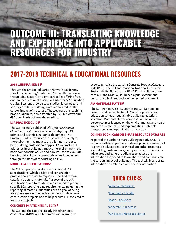## OUTCOME III: TRANSLATING KNOWLEDGE AND EXPERIENCE INTO APPLICABLE RESOURCES FOR INDUSTRY

### **2017-2018 TECHNICAL & EDUCATIONAL RESOURCES**

### **2018 WEBINAR SERIES1**

Through the Embodied Carbon Network taskforces, the CLF is delivering "Embodied Carbon Reduction in the Building Sector", an eight-part series offering free, one-hour educational sessions eligible for AIA education credits. Sessions provide case studies, knowledge, and strategies to help building professionals reduce the carbon impact of materials. The webinars are reaching broad audiences, demonstrated by 194 live views and 495 downloads of the web recording.

### **LCA PRACTICE GUIDE2**

The CLF recently published *Life Cycle Assessment of Buildings: A Practice Guide,* a step-by-step LCA primer and technical guidance document. The Practice Guide introduces the use of LCA to analyze the environmental impacts of buildings in order to help building professionals apply LCA in practice. It addresses how buildings impact the environment, the basic components of LCA and how its used to evaluate building data. It uses a case study to walk beginners through the steps of conducting an LCA.

### **MODEL LCA SPECIFICATIONS3**

The CLF supported development of model LCA specifications, which design and construction professionals can use to request embodied carbon data for structural materials. Purpose of the LCA specifications are to establish recommended product specific LCA reporting data requirements, including the reporting of material quantities, with a goal of being able to measure embodied carbon footprints of new construction projects and to help secure LEED v4 credits for those projects.

### **CONCRETE PCR TECHNICAL EDITS4**

The CLF and the National Ready Mixed Concrete Association (NRMCA) collaborated with a group of experts to revise the existing Concrete Product Category Rule (PCR). The NSF International National Center for Sustainability Standards (NSF-NCSS) - in collaboration with CLF and NRMCA - launched a public comment period to collect feedback on the revised document.

### **AIA MATERIALS MATTER5**

The CLF worked with AIA Seattle and AIA National to develop and deliver Materials Matter, a professional education series on sustainable building materials selection. Materials Matter comprises online and inperson courses focused on the environmental and health impacts of materials, and implementing materials transparency and optimization in practice.

#### **COMING SOON: CARBON SMART RESOURCE DATABASE**

As part of the Carbon Smart Building Initiative, CLF is working with NGO partners to develop an accessible tool to provide educational, technical and other resources for building professionals, policy makers, sustainability advocates and general audiences to access the information they need to learn about and communicate the carbon impact of buildings. The tool will incorporate information on embodied and operational carbon.

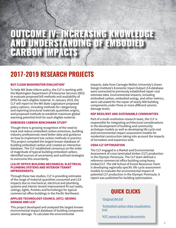## OUTCOME IVE INGREASING KNOWLEDGE AND UNDERSTANDING OF EMBODIED CARBON IMPACTS

### **2017-2019 RESEARCH PROJECTS**

### **BUY CLEAN WASHINGTON EVALUATION<sup>1</sup>**

To help WA State inform policy, the CLF is working with the Washington Department of Enterprise Services (DES) to evaluate proposed bill methods and availability of EPDs for each eligible material. In January 2019, the CLF will report to the WA State Legislature proposed policy options, including methods for categorizing and reporting structural materials quantities origins, and proposed methods to establish maximum global warming potential limit for each eligible material.

### **EMBODIED CARBON BENCHMARK STUDY2**

Though there is growing recognition of the need to track and reduce embodied carbon emissions, building industry professionals need better data and guidance on how to implement low carbon methods in practice. This project compiled the largest known database of building embodied carbon and created an interactive database. The CLF established consensus on the order of magnitude of typical building embodied carbon, identified sources of uncertainty and outlined strategies to overcome this uncertainty.

#### **LCA OF OFFICE BUILDING MECHANICAL ELECTRICAL PLUMBING SYSTEMS AND INTERIOR TENANT IMPROVEMENTS.**

Through these two studies, CLF is providing estimates of the range of material quantities consumed and LCA impacts due to mechanical, electrical and plumbing systems and interior tenant improvement fit out (walls, ceilings, lights, finishes and furnishings) for typical commercial office buildings in the Pacific Northwest.

### **APPLIED TECHNOLOGY COUNCIL (ATC): SEISMIC DAMAGE AND LCA3**

This project developed and analyzed the largest known environmental impact database of building component seismic damage. To calculate the environmental

impacts, data from Carnegie Mellon University's Green Design Institute's Economic Input-Output LCA database were connected to previously established repair cost estimate data. Environmental impacts, including embodied carbon, embodied energy, and other metrics, were calculated for the repair of nearly 800 building components under three or more different seismic damage levels.

### **NSF RESILIENT AND SUSTAINABLE COMMUNITIES**

Part of a multi-institution research team, the CLF is responsible for integrating architectural considerations in the development of building and community archetype models as well as developing life cycle cost and environmental impact assessment models for residential construction taking into account the impacts of tornadoes and expansive soils.

### **USDA CLT OPTIMIZATION**

The CLF engaged in a Market and Environmental Assessment of cross laminated timber (CLT) production in the Olympic Peninsula. The CLF team defined a reference commercial office building using heavy timber/CLT. The UW School of Forest Resources Team is developing regionally specific life cycle assessment models to evaluate the environmental impact of potential CLT production in the Olympic Peninsula. A report was published for building optimization.

### **QUICK CLICKS**

<sup>1</sup>Original WA bill

2 Embodied carbon data visualization tool

<u><sup>3</sup>ATC report & project documents</u>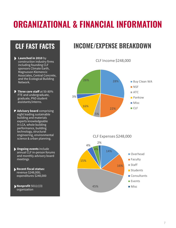# **ORGANIZATIONAL & FINANCIAL INFORMATION**

- **Launched in 2010** by construction industry firms including founding CLF sponsors Climate Earth, Magnusson Klemencic Associates, Central Concrete, and the Ecological Building Network.
- **Three core staff** at 50-80% FTE and undergraduate, graduate, PhD student assistants/interns.

3%

- **Advisory board** comprising eight leading sustainable building and materials experts knowledgeable in LCA, whole building performance, building technology, structural engineering, environmental science & urban planning.
- **Ongoing events** include annual CLF in-person forums and monthly advisory board meetings
- **Recent fiscal status:** revenue \$248,000; expenditures \$248,000
- **Nonprofit** 501(c)(3) organization

### **CLF FAST FACTS INCOME/EXPENSE BREAKDOWN**

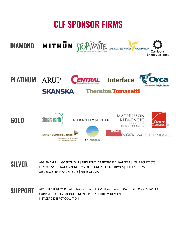# **CLF SPONSOR FIRMS**



**SILVER** ADRIAN SMITH + GORDON GILL | ARKIN TILT | CARBONCURE | KATERRA | LMN ARCHITECTS LUND OPSAHL | NATIONAL READY MIXED CONCRETE CO. | NRMCA | SELLEN | SHKS SIEGEL & STRAIN ARCHITECTS | WRNS STUDIO

**SUPPORT** ARCHITECTURE 2030 | ATHENA SMI | CASBA | C-CHANGE LABS | COALITION TO PRESERVE LA CORRIM | ECOLOGICAL BUILDING NETWORK | ENDEAVOUR CENTRE NET ZERO ENERGY COALITION